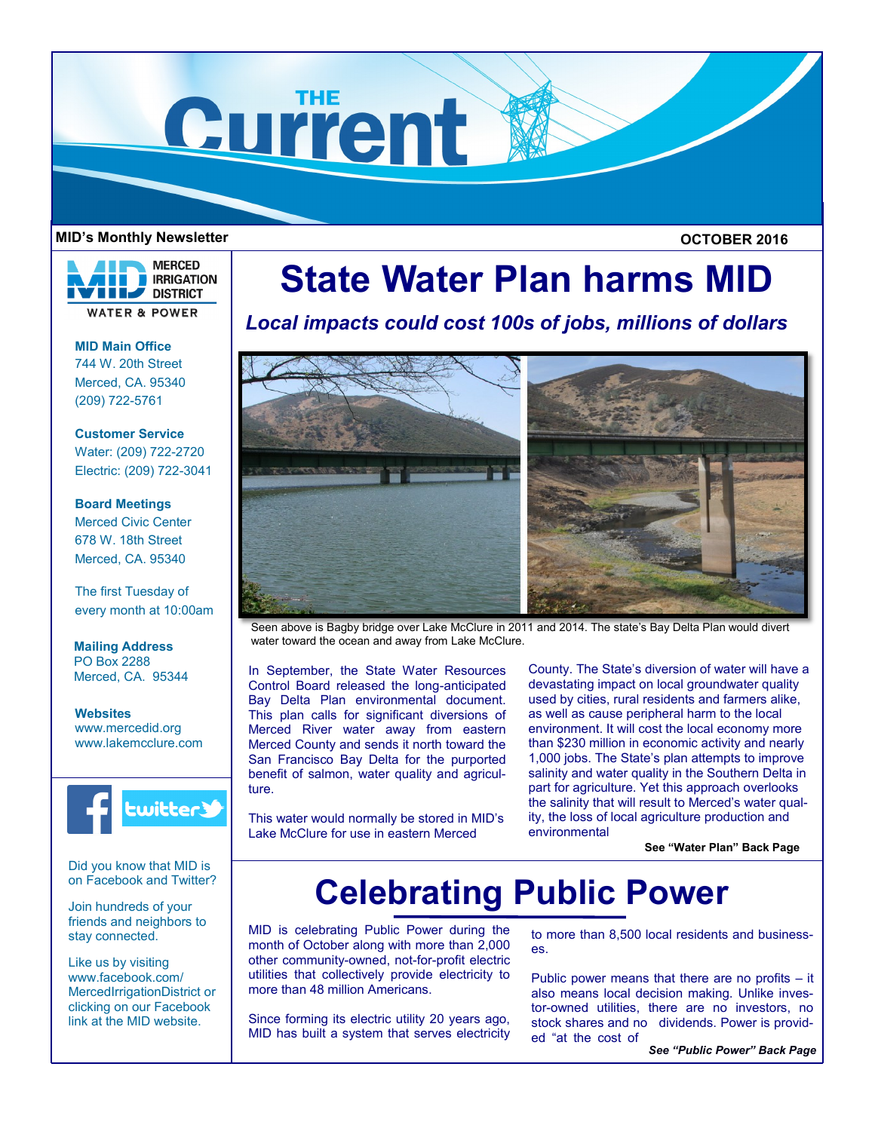

#### **MID's Monthly Newsletter OCTOBER 2016**



**MID Main Office**

744 W. 20th Street Merced, CA. 95340 (209) 722-5761

**Customer Service** Water: (209) 722-2720 Electric: (209) 722-3041

# **Board Meetings**

Merced Civic Center 678 W. 18th Street Merced, CA. 95340

The first Tuesday of every month at 10:00am

**Mailing Address** PO Box 2288 Merced, CA. 95344

**Websites** www.mercedid.org www.lakemcclure.com



Did you know that MID is on Facebook and Twitter?

Join hundreds of your friends and neighbors to stay connected.

Like us by visiting www.facebook.com/ MercedIrrigationDistrict or clicking on our Facebook link at the MID website.

# **State Water Plan harms MID**

*Local impacts could cost 100s of jobs, millions of dollars*



Seen above is Bagby bridge over Lake McClure in 2011 and 2014. The state's Bay Delta Plan would divert water toward the ocean and away from Lake McClure.

In September, the State Water Resources Control Board released the long-anticipated Bay Delta Plan environmental document. This plan calls for significant diversions of Merced River water away from eastern Merced County and sends it north toward the San Francisco Bay Delta for the purported benefit of salmon, water quality and agriculture.

This water would normally be stored in MID's Lake McClure for use in eastern Merced

County. The State's diversion of water will have a devastating impact on local groundwater quality used by cities, rural residents and farmers alike, as well as cause peripheral harm to the local environment. It will cost the local economy more than \$230 million in economic activity and nearly 1,000 jobs. The State's plan attempts to improve salinity and water quality in the Southern Delta in part for agriculture. Yet this approach overlooks the salinity that will result to Merced's water quality, the loss of local agriculture production and environmental

**See "Water Plan" Back Page**

# **Celebrating Public Power**

MID is celebrating Public Power during the month of October along with more than 2,000 other community-owned, not-for-profit electric utilities that collectively provide electricity to more than 48 million Americans.

Since forming its electric utility 20 years ago, MID has built a system that serves electricity to more than 8,500 local residents and businesses.

Public power means that there are no profits – it also means local decision making. Unlike investor-owned utilities, there are no investors, no stock shares and no dividends. Power is provided "at the cost of

*See "Public Power" Back Page*